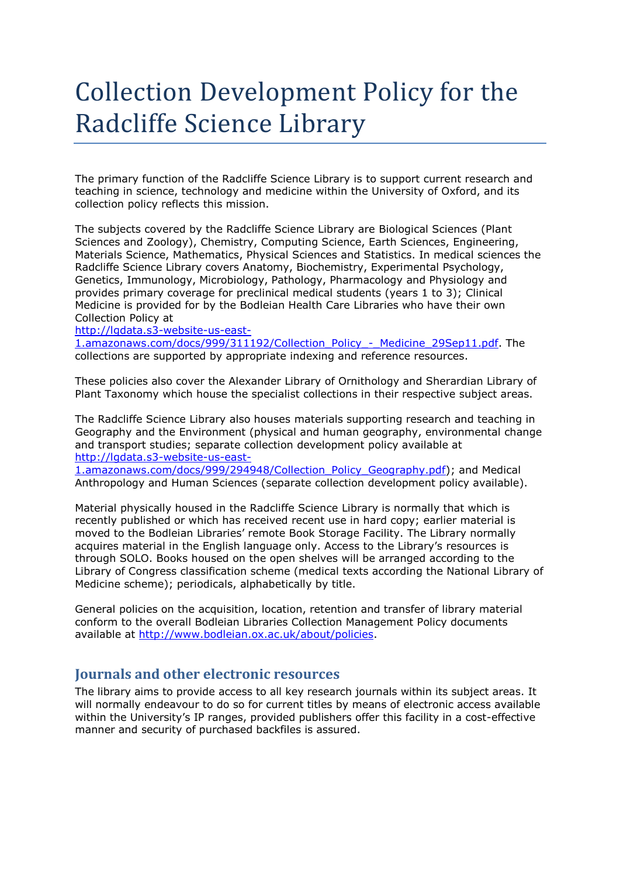# Collection Development Policy for the Radcliffe Science Library

The primary function of the Radcliffe Science Library is to support current research and teaching in science, technology and medicine within the University of Oxford, and its collection policy reflects this mission.

The subjects covered by the Radcliffe Science Library are Biological Sciences (Plant Sciences and Zoology), Chemistry, Computing Science, Earth Sciences, Engineering, Materials Science, Mathematics, Physical Sciences and Statistics. In medical sciences the Radcliffe Science Library covers Anatomy, Biochemistry, Experimental Psychology, Genetics, Immunology, Microbiology, Pathology, Pharmacology and Physiology and provides primary coverage for preclinical medical students (years 1 to 3); Clinical Medicine is provided for by the Bodleian Health Care Libraries who have their own Collection Policy at

[http://lgdata.s3-website-us-east-](http://lgdata.s3-website-us-east-1.amazonaws.com/docs/999/311192/Collection_Policy_-_Medicine_29Sep11.pdf)

[1.amazonaws.com/docs/999/311192/Collection\\_Policy\\_-\\_Medicine\\_29Sep11.pdf.](http://lgdata.s3-website-us-east-1.amazonaws.com/docs/999/311192/Collection_Policy_-_Medicine_29Sep11.pdf) The collections are supported by appropriate indexing and reference resources.

These policies also cover the Alexander Library of Ornithology and Sherardian Library of Plant Taxonomy which house the specialist collections in their respective subject areas.

The Radcliffe Science Library also houses materials supporting research and teaching in Geography and the Environment (physical and human geography, environmental change and transport studies; separate collection development policy available at [http://lgdata.s3-website-us-east-](http://lgdata.s3-website-us-east-1.amazonaws.com/docs/999/294948/Collection_Policy_Geography.pdf)

[1.amazonaws.com/docs/999/294948/Collection\\_Policy\\_Geography.pdf\)](http://lgdata.s3-website-us-east-1.amazonaws.com/docs/999/294948/Collection_Policy_Geography.pdf); and Medical Anthropology and Human Sciences (separate collection development policy available).

Material physically housed in the Radcliffe Science Library is normally that which is recently published or which has received recent use in hard copy; earlier material is moved to the Bodleian Libraries' remote Book Storage Facility. The Library normally acquires material in the English language only. Access to the Library's resources is through SOLO. Books housed on the open shelves will be arranged according to the Library of Congress classification scheme (medical texts according the National Library of Medicine scheme); periodicals, alphabetically by title.

General policies on the acquisition, location, retention and transfer of library material conform to the overall Bodleian Libraries Collection Management Policy documents available at [http://www.bodleian.ox.ac.uk/about/policies.](http://www.bodleian.ox.ac.uk/about/policies)

## **Journals and other electronic resources**

The library aims to provide access to all key research journals within its subject areas. It will normally endeavour to do so for current titles by means of electronic access available within the University's IP ranges, provided publishers offer this facility in a cost-effective manner and security of purchased backfiles is assured.